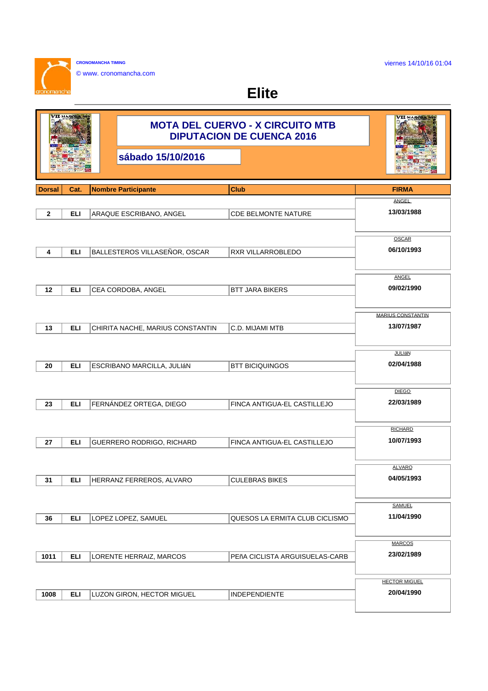**CRONOMANCHA TIMING** © www. cronomancha.com

 $\sim$ 

anoh

**Elite**

|               | VII MAJICHA |                                  | <b>MOTA DEL CUERVO - X CIRCUITO MTB</b><br><b>DIPUTACION DE CUENCA 2016</b> | VII малена                  |
|---------------|-------------|----------------------------------|-----------------------------------------------------------------------------|-----------------------------|
|               |             | sábado 15/10/2016                |                                                                             |                             |
| <b>Dorsal</b> | Cat.        | <b>Nombre Participante</b>       | Club                                                                        | <b>FIRMA</b>                |
|               |             |                                  |                                                                             | ANGEL                       |
| $\mathbf{2}$  | <b>ELI</b>  | ARAQUE ESCRIBANO, ANGEL          | <b>CDE BELMONTE NATURE</b>                                                  | 13/03/1988                  |
|               |             |                                  |                                                                             | OSCAR                       |
| 4             | <b>ELI</b>  | BALLESTEROS VILLASEÑOR, OSCAR    | <b>RXR VILLARROBLEDO</b>                                                    | 06/10/1993                  |
|               |             |                                  |                                                                             |                             |
|               |             |                                  |                                                                             | <b>ANGEL</b>                |
| 12            | ELI         | CEA CORDOBA, ANGEL               | <b>BTT JARA BIKERS</b>                                                      | 09/02/1990                  |
|               |             |                                  |                                                                             |                             |
|               |             |                                  |                                                                             | <b>MARIUS CONSTANTIN</b>    |
| 13            | <b>ELI</b>  | CHIRITA NACHE, MARIUS CONSTANTIN | C.D. MIJAMI MTB                                                             | 13/07/1987                  |
|               |             |                                  |                                                                             |                             |
|               |             |                                  |                                                                             | JULIÁN                      |
| 20            | <b>ELI</b>  | ESCRIBANO MARCILLA, JULIÁN       | <b>BTT BICIQUINGOS</b>                                                      | 02/04/1988                  |
|               |             |                                  |                                                                             |                             |
|               |             |                                  |                                                                             | <b>DIEGO</b>                |
| 23            | <b>ELI</b>  | FERNÁNDEZ ORTEGA, DIEGO          | FINCA ANTIGUA-EL CASTILLEJO                                                 | 22/03/1989                  |
|               |             |                                  |                                                                             |                             |
|               |             |                                  |                                                                             | <b>RICHARD</b>              |
| 27            | ELI         | GUERRERO RODRIGO, RICHARD        | FINCA ANTIGUA-EL CASTILLEJO                                                 | 10/07/1993                  |
|               |             |                                  |                                                                             |                             |
|               |             |                                  |                                                                             | <b>ALVARO</b>               |
| 31            | <b>ELI</b>  | HERRANZ FERREROS, ALVARO         | <b>CULEBRAS BIKES</b>                                                       | 04/05/1993                  |
|               |             |                                  |                                                                             |                             |
|               |             |                                  |                                                                             | <b>SAMUEL</b>               |
|               |             |                                  |                                                                             | 11/04/1990                  |
| 36            | <b>ELI</b>  | LOPEZ LOPEZ, SAMUEL              | QUESOS LA ERMITA CLUB CICLISMO                                              |                             |
|               |             |                                  |                                                                             |                             |
|               |             |                                  |                                                                             | <b>MARCOS</b><br>23/02/1989 |
| 1011          | <b>ELI</b>  | LORENTE HERRAIZ, MARCOS          | PEñA CICLISTA ARGUISUELAS-CARB                                              |                             |
|               |             |                                  |                                                                             |                             |
|               |             |                                  |                                                                             | <b>HECTOR MIGUEL</b>        |
| 1008          | <b>ELI</b>  | LUZON GIRON, HECTOR MIGUEL       | <b>INDEPENDIENTE</b>                                                        | 20/04/1990                  |
|               |             |                                  |                                                                             |                             |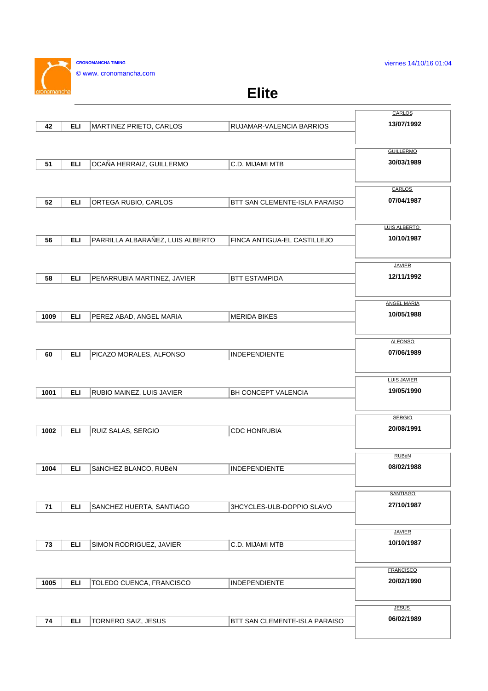viernes 14/10/16 01:04

**CRONOMANCHA TIMING** © www. cronomancha.com

 $\sim$ 

## **Elite**

|      |            |                                  |                               | CARLOS                        |
|------|------------|----------------------------------|-------------------------------|-------------------------------|
| 42   | <b>ELI</b> | MARTINEZ PRIETO, CARLOS          | RUJAMAR-VALENCIA BARRIOS      | 13/07/1992                    |
|      |            |                                  |                               |                               |
|      |            |                                  |                               | <b>GUILLERMO</b>              |
| 51   | <b>ELI</b> | OCAÑA HERRAIZ, GUILLERMO         | C.D. MIJAMI MTB               | 30/03/1989                    |
|      |            |                                  |                               |                               |
|      |            |                                  |                               |                               |
|      |            |                                  |                               | <b>CARLOS</b>                 |
| 52   | <b>ELI</b> | ORTEGA RUBIO, CARLOS             | BTT SAN CLEMENTE-ISLA PARAISO | 07/04/1987                    |
|      |            |                                  |                               |                               |
|      |            |                                  |                               | LUIS ALBERTO                  |
| 56   | <b>ELI</b> | PARRILLA ALBARAÑEZ, LUIS ALBERTO | FINCA ANTIGUA-EL CASTILLEJO   | 10/10/1987                    |
|      |            |                                  |                               |                               |
|      |            |                                  |                               | <b>JAVIER</b>                 |
| 58   | <b>ELI</b> | PEñARRUBIA MARTINEZ, JAVIER      | <b>BTT ESTAMPIDA</b>          | 12/11/1992                    |
|      |            |                                  |                               |                               |
|      |            |                                  |                               | <b>ANGEL MARIA</b>            |
| 1009 | <b>ELI</b> | PEREZ ABAD, ANGEL MARIA          | <b>MERIDA BIKES</b>           | 10/05/1988                    |
|      |            |                                  |                               |                               |
|      |            |                                  |                               |                               |
|      |            |                                  |                               | <b>ALFONSO</b>                |
| 60   | <b>ELI</b> | PICAZO MORALES, ALFONSO          | <b>INDEPENDIENTE</b>          | 07/06/1989                    |
|      |            |                                  |                               |                               |
|      |            |                                  |                               | <b>LUIS JAVIER</b>            |
| 1001 | <b>ELI</b> | RUBIO MAINEZ, LUIS JAVIER        | BH CONCEPT VALENCIA           | 19/05/1990                    |
|      |            |                                  |                               |                               |
|      |            |                                  |                               | <b>SERGIO</b>                 |
| 1002 | <b>ELI</b> | RUIZ SALAS, SERGIO               | <b>CDC HONRUBIA</b>           | 20/08/1991                    |
|      |            |                                  |                               |                               |
|      |            |                                  |                               | <b>RUBéN</b>                  |
| 1004 | <b>ELI</b> | SáNCHEZ BLANCO, RUBéN            | <b>INDEPENDIENTE</b>          | 08/02/1988                    |
|      |            |                                  |                               |                               |
|      |            |                                  |                               |                               |
|      |            |                                  |                               | <b>SANTIAGO</b><br>27/10/1987 |
| 71   | <b>ELI</b> | SANCHEZ HUERTA, SANTIAGO         | 3HCYCLES-ULB-DOPPIO SLAVO     |                               |
|      |            |                                  |                               |                               |
|      |            |                                  |                               | <b>JAVIER</b>                 |
| 73   | <b>ELI</b> | SIMON RODRIGUEZ, JAVIER          | C.D. MIJAMI MTB               | 10/10/1987                    |
|      |            |                                  |                               |                               |
|      |            |                                  |                               | <b>FRANCISCO</b>              |
| 1005 | <b>ELI</b> | TOLEDO CUENCA, FRANCISCO         | <b>INDEPENDIENTE</b>          | 20/02/1990                    |
|      |            |                                  |                               |                               |
|      |            |                                  |                               | JESUS                         |
| 74   | <b>ELI</b> | <b>TORNERO SAIZ, JESUS</b>       | BTT SAN CLEMENTE-ISLA PARAISO | 06/02/1989                    |
|      |            |                                  |                               |                               |
|      |            |                                  |                               |                               |